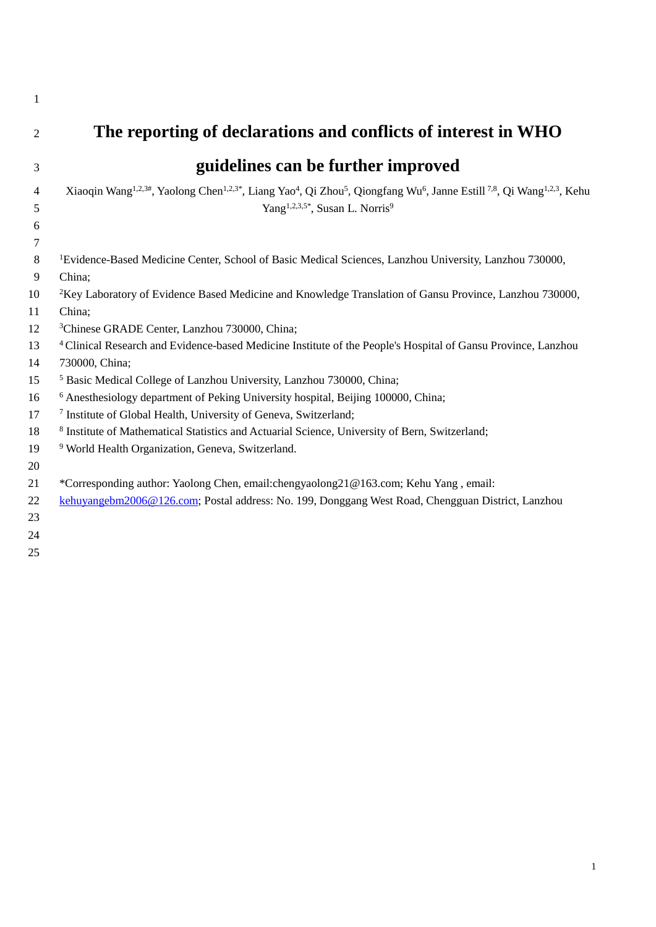| $\mathbf{1}$        |                                                                                                                                                                                                                                                                        |
|---------------------|------------------------------------------------------------------------------------------------------------------------------------------------------------------------------------------------------------------------------------------------------------------------|
| 2                   | The reporting of declarations and conflicts of interest in WHO                                                                                                                                                                                                         |
| 3                   | guidelines can be further improved                                                                                                                                                                                                                                     |
| $\overline{4}$<br>5 | Xiaoqin Wang <sup>1,2,3#</sup> , Yaolong Chen <sup>1,2,3*</sup> , Liang Yao <sup>4</sup> , Qi Zhou <sup>5</sup> , Qiongfang Wu <sup>6</sup> , Janne Estill <sup>7,8</sup> , Qi Wang <sup>1,2,3</sup> , Kehu<br>Yang <sup>1,2,3,5*</sup> , Susan L. Norris <sup>9</sup> |
| 6<br>7              |                                                                                                                                                                                                                                                                        |
| 8                   | <sup>1</sup> Evidence-Based Medicine Center, School of Basic Medical Sciences, Lanzhou University, Lanzhou 730000,                                                                                                                                                     |
| 9                   | China;                                                                                                                                                                                                                                                                 |
| 10                  | <sup>2</sup> Key Laboratory of Evidence Based Medicine and Knowledge Translation of Gansu Province, Lanzhou 730000,                                                                                                                                                    |
| 11                  | China;                                                                                                                                                                                                                                                                 |
| 12                  | <sup>3</sup> Chinese GRADE Center, Lanzhou 730000, China;                                                                                                                                                                                                              |
| 13                  | <sup>4</sup> Clinical Research and Evidence-based Medicine Institute of the People's Hospital of Gansu Province, Lanzhou                                                                                                                                               |
| 14                  | 730000, China;                                                                                                                                                                                                                                                         |
| 15                  | <sup>5</sup> Basic Medical College of Lanzhou University, Lanzhou 730000, China;                                                                                                                                                                                       |
| 16                  | <sup>6</sup> Anesthesiology department of Peking University hospital, Beijing 100000, China;                                                                                                                                                                           |
| 17                  | <sup>7</sup> Institute of Global Health, University of Geneva, Switzerland;                                                                                                                                                                                            |
| 18                  | <sup>8</sup> Institute of Mathematical Statistics and Actuarial Science, University of Bern, Switzerland;                                                                                                                                                              |
| 19                  | <sup>9</sup> World Health Organization, Geneva, Switzerland.                                                                                                                                                                                                           |
| 20                  |                                                                                                                                                                                                                                                                        |
| 21                  | *Corresponding author: Yaolong Chen, email:chengyaolong21@163.com; Kehu Yang, email:                                                                                                                                                                                   |
| 22                  | kehuyangebm2006@126.com; Postal address: No. 199, Donggang West Road, Chengguan District, Lanzhou                                                                                                                                                                      |
| 23                  |                                                                                                                                                                                                                                                                        |
| 24                  |                                                                                                                                                                                                                                                                        |
|                     |                                                                                                                                                                                                                                                                        |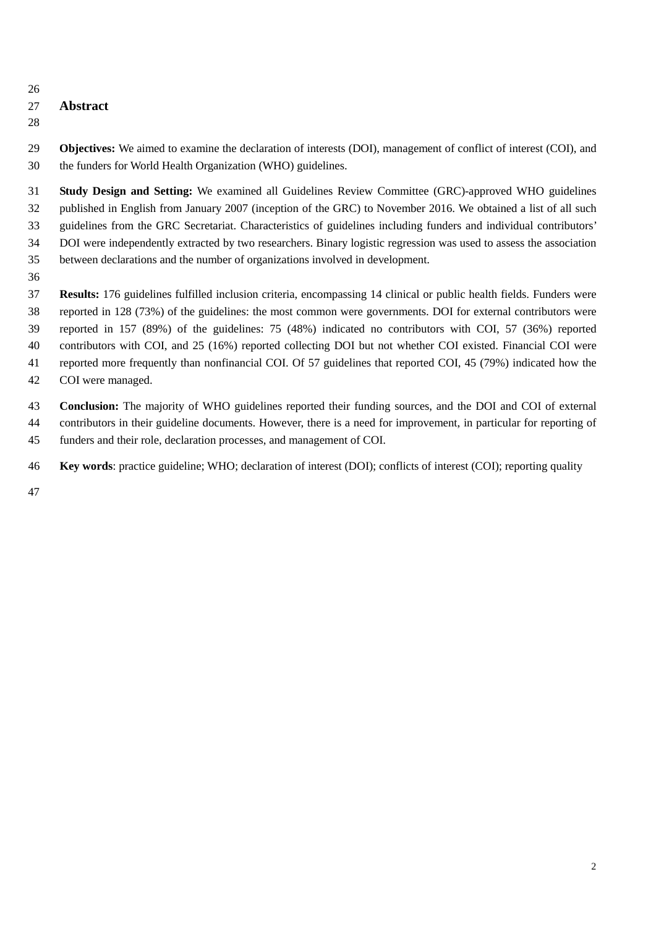## **Abstract**

 **Objectives:** We aimed to examine the declaration of interests (DOI), management of conflict of interest (COI), and the funders for World Health Organization (WHO) guidelines.

 **Study Design and Setting:** We examined all Guidelines Review Committee (GRC)-approved WHO guidelines published in English from January 2007 (inception of the GRC) to November 2016. We obtained a list of all such guidelines from the GRC Secretariat. Characteristics of guidelines including funders and individual contributors' DOI were independently extracted by two researchers. Binary logistic regression was used to assess the association between declarations and the number of organizations involved in development.

 **Results:** 176 guidelines fulfilled inclusion criteria, encompassing 14 clinical or public health fields. Funders were reported in 128 (73%) of the guidelines: the most common were governments. DOI for external contributors were reported in 157 (89%) of the guidelines: 75 (48%) indicated no contributors with COI, 57 (36%) reported contributors with COI, and 25 (16%) reported collecting DOI but not whether COI existed. Financial COI were reported more frequently than nonfinancial COI. Of 57 guidelines that reported COI, 45 (79%) indicated how the COI were managed.

 **Conclusion:** The majority of WHO guidelines reported their funding sources, and the DOI and COI of external contributors in their guideline documents. However, there is a need for improvement, in particular for reporting of funders and their role, declaration processes, and management of COI.

- **Key words**: practice guideline; WHO; declaration of interest (DOI); conflicts of interest (COI); reporting quality
-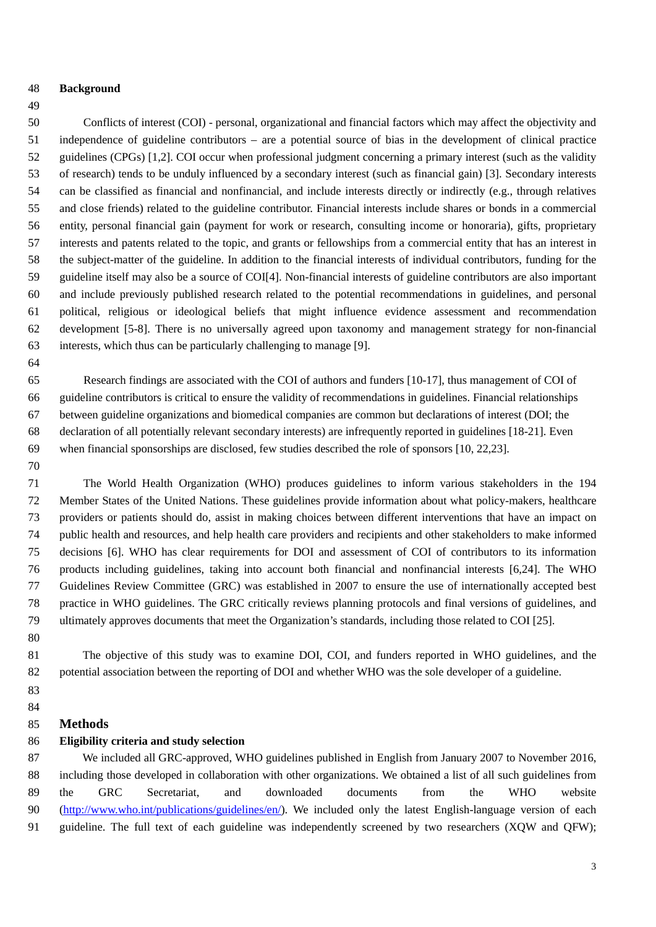#### **Background**

#### 

 Conflicts of interest (COI) - personal, organizational and financial factors which may affect the objectivity and independence of guideline contributors – are a potential source of bias in the development of clinical practice guidelines (CPGs) [1,2]. COI occur when professional judgment concerning a primary interest (such as the validity of research) tends to be unduly influenced by a secondary interest (such as financial gain) [3]. Secondary interests can be classified as financial and nonfinancial, and include interests directly or indirectly (e.g., through relatives and close friends) related to the guideline contributor. Financial interests include shares or bonds in a commercial entity, personal financial gain (payment for work or research, consulting income or honoraria), gifts, proprietary interests and patents related to the topic, and grants or fellowships from a commercial entity that has an interest in the subject-matter of the guideline. In addition to the financial interests of individual contributors, funding for the guideline itself may also be a source of COI[4]. Non-financial interests of guideline contributors are also important and include previously published research related to the potential recommendations in guidelines, and personal political, religious or ideological beliefs that might influence evidence assessment and recommendation development [5-8]. There is no universally agreed upon taxonomy and management strategy for non-financial interests, which thus can be particularly challenging to manage [9].

 Research findings are associated with the COI of authors and funders [10-17], thus management of COI of guideline contributors is critical to ensure the validity of recommendations in guidelines. Financial relationships between guideline organizations and biomedical companies are common but declarations of interest (DOI; the declaration of all potentially relevant secondary interests) are infrequently reported in guidelines [18-21]. Even when financial sponsorships are disclosed, few studies described the role of sponsors [10, 22,23].

 The World Health Organization (WHO) produces guidelines to inform various stakeholders in the 194 Member States of the United Nations. These guidelines provide information about what policy-makers, healthcare providers or patients should do, assist in making choices between different interventions that have an impact on public health and resources, and help health care providers and recipients and other stakeholders to make informed decisions [6]. WHO has clear requirements for DOI and assessment of COI of contributors to its information products including guidelines, taking into account both financial and nonfinancial interests [6,24]. The WHO Guidelines Review Committee (GRC) was established in 2007 to ensure the use of internationally accepted best practice in WHO guidelines. The GRC critically reviews planning protocols and final versions of guidelines, and ultimately approves documents that meet the Organization's standards, including those related to COI [25].

 The objective of this study was to examine DOI, COI, and funders reported in WHO guidelines, and the potential association between the reporting of DOI and whether WHO was the sole developer of a guideline.

### 

#### **Methods**

### **Eligibility criteria and study selection**

 We included all GRC-approved, WHO guidelines published in English from January 2007 to November 2016, including those developed in collaboration with other organizations. We obtained a list of all such guidelines from the GRC Secretariat, and downloaded documents from the WHO website [\(http://www.who.int/publications/guidelines/en/\)](http://www.who.int/publications/guidelines/en/). We included only the latest English-language version of each guideline. The full text of each guideline was independently screened by two researchers (XQW and QFW);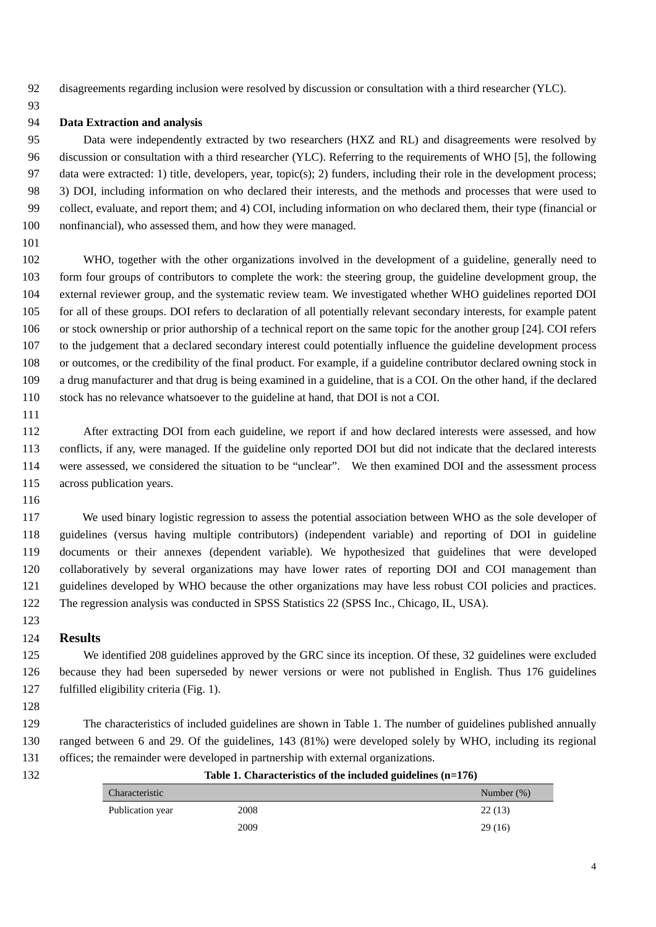- disagreements regarding inclusion were resolved by discussion or consultation with a third researcher (YLC).
- 

## **Data Extraction and analysis**

 Data were independently extracted by two researchers (HXZ and RL) and disagreements were resolved by discussion or consultation with a third researcher (YLC). Referring to the requirements of WHO [5], the following data were extracted: 1) title, developers, year, topic(s); 2) funders, including their role in the development process; 3) DOI, including information on who declared their interests, and the methods and processes that were used to collect, evaluate, and report them; and 4) COI, including information on who declared them, their type (financial or nonfinancial), who assessed them, and how they were managed.

 WHO, together with the other organizations involved in the development of a guideline, generally need to form four groups of contributors to complete the work: the steering group, the guideline development group, the external reviewer group, and the systematic review team. We investigated whether WHO guidelines reported DOI for all of these groups. DOI refers to declaration of all potentially relevant secondary interests, for example patent or stock ownership or prior authorship of a technical report on the same topic for the another group [24]. COI refers to the judgement that a declared secondary interest could potentially influence the guideline development process or outcomes, or the credibility of the final product. For example, if a guideline contributor declared owning stock in a drug manufacturer and that drug is being examined in a guideline, that is a COI. On the other hand, if the declared stock has no relevance whatsoever to the guideline at hand, that DOI is not a COI.

 After extracting DOI from each guideline, we report if and how declared interests were assessed, and how conflicts, if any, were managed. If the guideline only reported DOI but did not indicate that the declared interests were assessed, we considered the situation to be "unclear". We then examined DOI and the assessment process across publication years.

 We used binary logistic regression to assess the potential association between WHO as the sole developer of guidelines (versus having multiple contributors) (independent variable) and reporting of DOI in guideline documents or their annexes (dependent variable). We hypothesized that guidelines that were developed collaboratively by several organizations may have lower rates of reporting DOI and COI management than guidelines developed by WHO because the other organizations may have less robust COI policies and practices. The regression analysis was conducted in SPSS Statistics 22 (SPSS Inc., Chicago, IL, USA).

 **Results**

 We identified 208 guidelines approved by the GRC since its inception. Of these, 32 guidelines were excluded because they had been superseded by newer versions or were not published in English. Thus 176 guidelines fulfilled eligibility criteria (Fig. 1).

 The characteristics of included guidelines are shown in Table 1. The number of guidelines published annually ranged between 6 and 29. Of the guidelines, 143 (81%) were developed solely by WHO, including its regional offices; the remainder were developed in partnership with external organizations.

| 132 |                  |      | Table 1. Characteristics of the included guidelines $(n=176)$ |
|-----|------------------|------|---------------------------------------------------------------|
|     | Characteristic   |      | Number $(\%)$                                                 |
|     | Publication year | 2008 | 22(13)                                                        |
|     |                  | 2009 | 29(16)                                                        |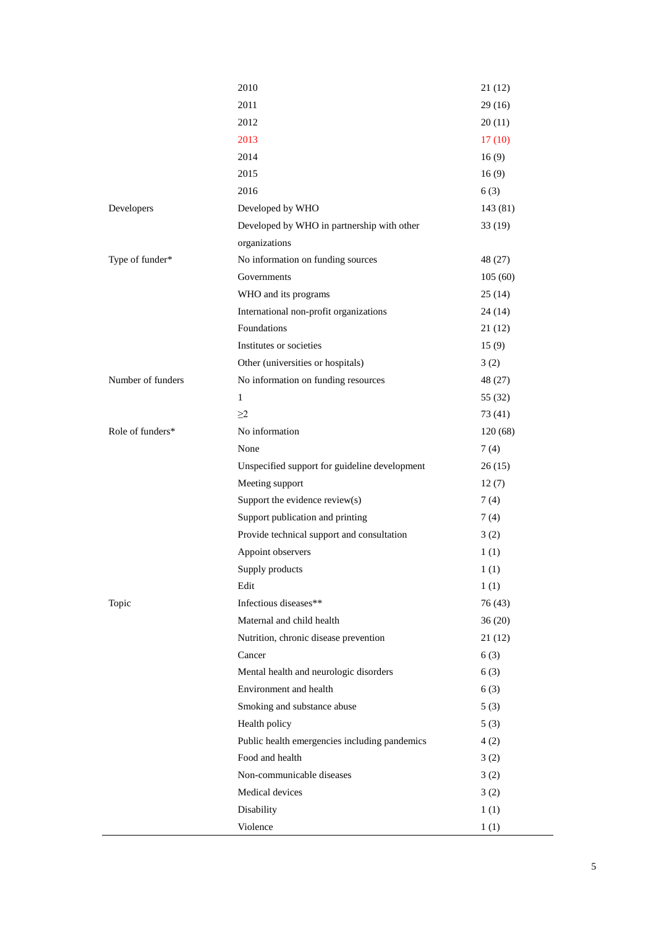|                   | 2010                                          | 21 (12)  |
|-------------------|-----------------------------------------------|----------|
|                   | 2011                                          | 29(16)   |
|                   | 2012                                          | 20(11)   |
|                   | 2013                                          | 17(10)   |
|                   | 2014                                          | 16(9)    |
|                   | 2015                                          | 16(9)    |
|                   | 2016                                          | 6(3)     |
| Developers        | Developed by WHO                              | 143 (81) |
|                   | Developed by WHO in partnership with other    | 33(19)   |
|                   | organizations                                 |          |
| Type of funder*   | No information on funding sources             | 48 (27)  |
|                   | Governments                                   | 105(60)  |
|                   | WHO and its programs                          | 25(14)   |
|                   | International non-profit organizations        | 24 (14)  |
|                   | Foundations                                   | 21(12)   |
|                   | Institutes or societies                       | 15(9)    |
|                   | Other (universities or hospitals)             | 3(2)     |
| Number of funders | No information on funding resources           | 48 (27)  |
|                   | $\mathbf{1}$                                  | 55 (32)  |
|                   | $\geq$ 2                                      | 73 (41)  |
| Role of funders*  | No information                                | 120(68)  |
|                   | None                                          | 7(4)     |
|                   | Unspecified support for guideline development | 26(15)   |
|                   | Meeting support                               | 12(7)    |
|                   | Support the evidence review(s)                | 7(4)     |
|                   | Support publication and printing              | 7(4)     |
|                   | Provide technical support and consultation    | 3(2)     |
|                   | Appoint observers                             | 1(1)     |
|                   | Supply products                               | 1(1)     |
|                   | Edit                                          | 1(1)     |
| Topic             | Infectious diseases**                         | 76 (43)  |
|                   | Maternal and child health                     | 36(20)   |
|                   | Nutrition, chronic disease prevention         | 21 (12)  |
|                   | Cancer                                        | 6(3)     |
|                   | Mental health and neurologic disorders        | 6(3)     |
|                   | Environment and health                        | 6(3)     |
|                   | Smoking and substance abuse                   | 5(3)     |
|                   | Health policy                                 | 5(3)     |
|                   | Public health emergencies including pandemics | 4(2)     |
|                   | Food and health                               | 3(2)     |
|                   | Non-communicable diseases                     | 3(2)     |
|                   | Medical devices                               | 3(2)     |
|                   | Disability                                    | 1(1)     |
|                   | Violence                                      | 1(1)     |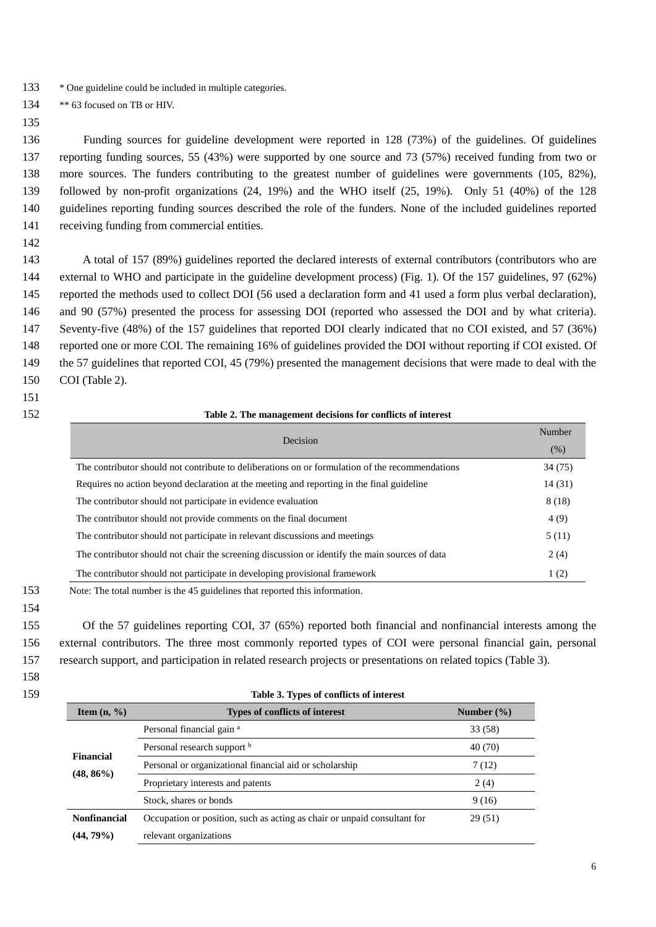- 133 \* One guideline could be included in multiple categories.
- 134  $** 63$  focused on TB or HIV.
- 135

 Funding sources for guideline development were reported in 128 (73%) of the guidelines. Of guidelines reporting funding sources, 55 (43%) were supported by one source and 73 (57%) received funding from two or more sources. The funders contributing to the greatest number of guidelines were governments (105, 82%), followed by non-profit organizations (24, 19%) and the WHO itself (25, 19%). Only 51 (40%) of the 128 guidelines reporting funding sources described the role of the funders. None of the included guidelines reported receiving funding from commercial entities.

142

 A total of 157 (89%) guidelines reported the declared interests of external contributors (contributors who are external to WHO and participate in the guideline development process) (Fig. 1). Of the 157 guidelines, 97 (62%) reported the methods used to collect DOI (56 used a declaration form and 41 used a form plus verbal declaration), and 90 (57%) presented the process for assessing DOI (reported who assessed the DOI and by what criteria). Seventy-five (48%) of the 157 guidelines that reported DOI clearly indicated that no COI existed, and 57 (36%) reported one or more COI. The remaining 16% of guidelines provided the DOI without reporting if COI existed. Of the 57 guidelines that reported COI, 45 (79%) presented the management decisions that were made to deal with the COI (Table 2).

151

#### 152 **Table 2. The management decisions for conflicts of interest**

|                                                                                                 | Number |
|-------------------------------------------------------------------------------------------------|--------|
| Decision                                                                                        | (% )   |
| The contributor should not contribute to deliberations on or formulation of the recommendations | 34(75) |
| Requires no action beyond declaration at the meeting and reporting in the final guideline       | 14(31) |
| The contributor should not participate in evidence evaluation                                   | 8 (18) |
| The contributor should not provide comments on the final document                               | 4(9)   |
| The contributor should not participate in relevant discussions and meetings                     | 5(11)  |
| The contributor should not chair the screening discussion or identify the main sources of data  | 2(4)   |
| The contributor should not participate in developing provisional framework                      | 1(2)   |

154

155 Of the 57 guidelines reporting COI, 37 (65%) reported both financial and nonfinancial interests among the 156 external contributors. The three most commonly reported types of COI were personal financial gain, personal 157 research support, and participation in related research projects or presentations on related topics (Table 3).

| Table 3. Types of conflicts of interest |                                                                          |                |  |
|-----------------------------------------|--------------------------------------------------------------------------|----------------|--|
| Item $(n, %)$                           | <b>Types of conflicts of interest</b>                                    | Number $(\% )$ |  |
| <b>Financial</b><br>$(48, 86\%)$        | Personal financial gain <sup>a</sup>                                     | 33(58)         |  |
|                                         | Personal research support b                                              | 40(70)         |  |
|                                         | Personal or organizational financial aid or scholarship                  | 7(12)          |  |
|                                         | Proprietary interests and patents                                        | 2(4)           |  |
|                                         | Stock, shares or bonds                                                   | 9(16)          |  |
| <b>Nonfinancial</b>                     | Occupation or position, such as acting as chair or unpaid consultant for | 29(51)         |  |
| $(44, 79\%)$                            | relevant organizations                                                   |                |  |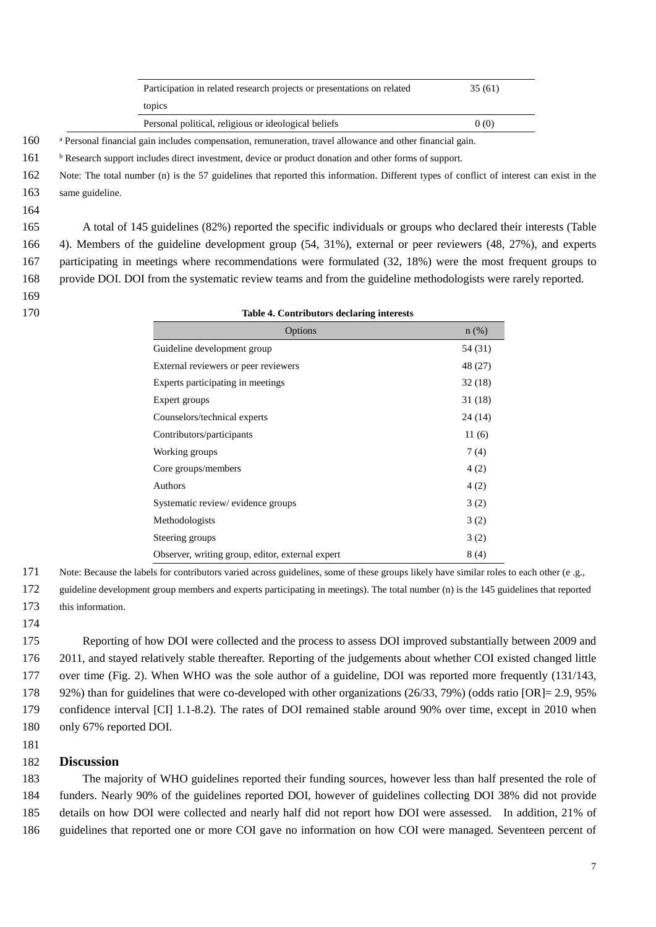| Participation in related research projects or presentations on related | 35(61) |
|------------------------------------------------------------------------|--------|
| topics                                                                 |        |
| Personal political, religious or ideological beliefs                   | 0(0)   |
|                                                                        |        |

160 a Personal financial gain includes compensation, remuneration, travel allowance and other financial gain.

161 <sup>b</sup> Research support includes direct investment, device or product donation and other forms of support.

162 Note: The total number (n) is the 57 guidelines that reported this information. Different types of conflict of interest can exist in the 163 same guideline.

164

 A total of 145 guidelines (82%) reported the specific individuals or groups who declared their interests (Table 4). Members of the guideline development group (54, 31%), external or peer reviewers (48, 27%), and experts participating in meetings where recommendations were formulated (32, 18%) were the most frequent groups to provide DOI. DOI from the systematic review teams and from the guideline methodologists were rarely reported.

169

| 170 | Table 4. Contributors declaring interests        |         |  |
|-----|--------------------------------------------------|---------|--|
|     | Options                                          | $n$ (%) |  |
|     | Guideline development group                      | 54 (31) |  |
|     | External reviewers or peer reviewers             | 48 (27) |  |
|     | Experts participating in meetings                | 32(18)  |  |
|     | Expert groups                                    | 31(18)  |  |
|     | Counselors/technical experts                     | 24 (14) |  |
|     | Contributors/participants                        | 11(6)   |  |
|     | Working groups                                   | 7(4)    |  |
|     | Core groups/members                              | 4(2)    |  |
|     | Authors                                          | 4(2)    |  |
|     | Systematic review/evidence groups                | 3(2)    |  |
|     | Methodologists                                   | 3(2)    |  |
|     | Steering groups                                  | 3(2)    |  |
|     | Observer, writing group, editor, external expert | 8(4)    |  |

171 Note: Because the labels for contributors varied across guidelines, some of these groups likely have similar roles to each other (e .g.,

172 guideline development group members and experts participating in meetings). The total number (n) is the 145 guidelines that reported

173 this information.

174

 Reporting of how DOI were collected and the process to assess DOI improved substantially between 2009 and 2011, and stayed relatively stable thereafter. Reporting of the judgements about whether COI existed changed little over time (Fig. 2). When WHO was the sole author of a guideline, DOI was reported more frequently (131/143, 92%) than for guidelines that were co-developed with other organizations (26/33, 79%) (odds ratio [OR]= 2.9, 95% confidence interval [CI] 1.1-8.2). The rates of DOI remained stable around 90% over time, except in 2010 when only 67% reported DOI.

181

### 182 **Discussion**

 The majority of WHO guidelines reported their funding sources, however less than half presented the role of funders. Nearly 90% of the guidelines reported DOI, however of guidelines collecting DOI 38% did not provide details on how DOI were collected and nearly half did not report how DOI were assessed. In addition, 21% of guidelines that reported one or more COI gave no information on how COI were managed. Seventeen percent of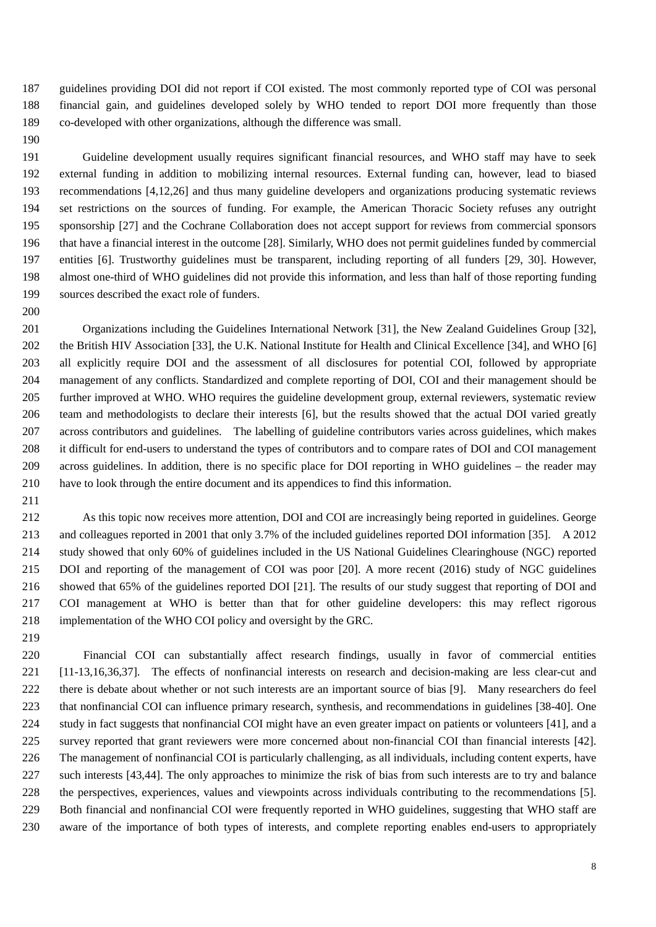guidelines providing DOI did not report if COI existed. The most commonly reported type of COI was personal financial gain, and guidelines developed solely by WHO tended to report DOI more frequently than those co-developed with other organizations, although the difference was small.

 Guideline development usually requires significant financial resources, and WHO staff may have to seek external funding in addition to mobilizing internal resources. External funding can, however, lead to biased recommendations [4,12,26] and thus many guideline developers and organizations producing systematic reviews set restrictions on the sources of funding. For example, the American Thoracic Society refuses any outright sponsorship [27] and the Cochrane Collaboration does not accept support for reviews from commercial sponsors that have a financial interest in the outcome [28]. Similarly, WHO does not permit guidelines funded by commercial entities [6]. Trustworthy guidelines must be transparent, including reporting of all funders [29, 30]. However, almost one-third of WHO guidelines did not provide this information, and less than half of those reporting funding sources described the exact role of funders.

 Organizations including the Guidelines International Network [31], the New Zealand Guidelines Group [32], the British HIV Association [33], the U.K. National Institute for Health and Clinical Excellence [34], and WHO [6] all explicitly require DOI and the assessment of all disclosures for potential COI, followed by appropriate management of any conflicts. Standardized and complete reporting of DOI, COI and their management should be further improved at WHO. WHO requires the guideline development group, external reviewers, systematic review team and methodologists to declare their interests [6], but the results showed that the actual DOI varied greatly across contributors and guidelines. The labelling of guideline contributors varies across guidelines, which makes it difficult for end-users to understand the types of contributors and to compare rates of DOI and COI management across guidelines. In addition, there is no specific place for DOI reporting in WHO guidelines – the reader may have to look through the entire document and its appendices to find this information.

 As this topic now receives more attention, DOI and COI are increasingly being reported in guidelines. George and colleagues reported in 2001 that only 3.7% of the included guidelines reported DOI information [35]. A 2012 study showed that only 60% of guidelines included in the US National Guidelines Clearinghouse (NGC) reported DOI and reporting of the management of COI was poor [20]. A more recent (2016) study of NGC guidelines showed that 65% of the guidelines reported DOI [21]. The results of our study suggest that reporting of DOI and COI management at WHO is better than that for other guideline developers: this may reflect rigorous implementation of the WHO COI policy and oversight by the GRC.

 Financial COI can substantially affect research findings, usually in favor of commercial entities [11-13,16,36,37]. The effects of nonfinancial interests on research and decision-making are less clear-cut and there is debate about whether or not such interests are an important source of bias [9]. Many researchers do feel that nonfinancial COI can influence primary research, synthesis, and recommendations in guidelines [38-40]. One study in fact suggests that nonfinancial COI might have an even greater impact on patients or volunteers [41], and a survey reported that grant reviewers were more concerned about non-financial COI than financial interests [42]. The management of nonfinancial COI is particularly challenging, as all individuals, including content experts, have such interests [43,44]. The only approaches to minimize the risk of bias from such interests are to try and balance the perspectives, experiences, values and viewpoints across individuals contributing to the recommendations [5]. 229 Both financial and nonfinancial COI were frequently reported in WHO guidelines, suggesting that WHO staff are aware of the importance of both types of interests, and complete reporting enables end-users to appropriately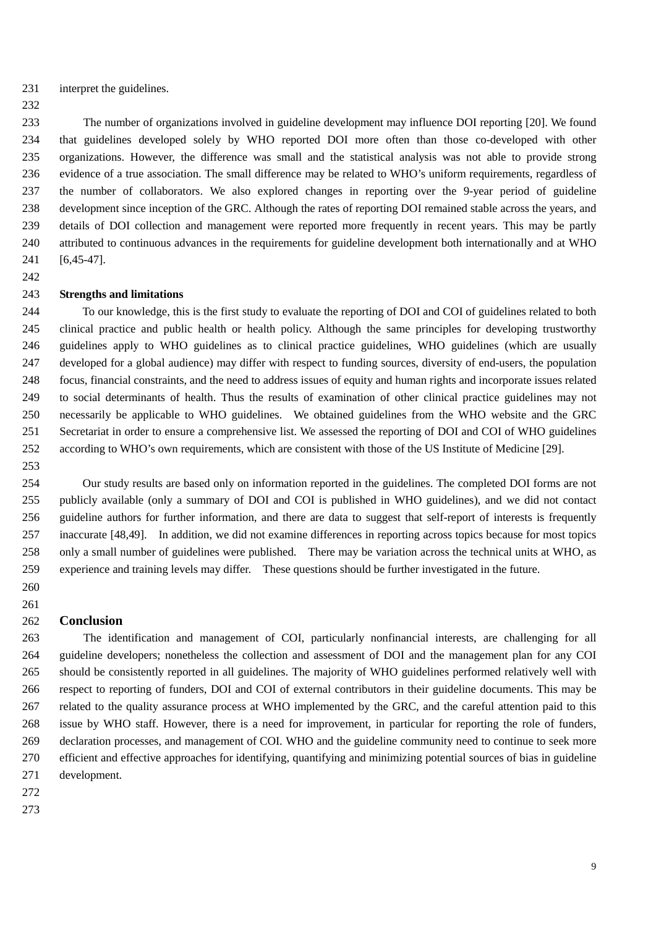interpret the guidelines.

 

 The number of organizations involved in guideline development may influence DOI reporting [20]. We found that guidelines developed solely by WHO reported DOI more often than those co-developed with other organizations. However, the difference was small and the statistical analysis was not able to provide strong evidence of a true association. The small difference may be related to WHO's uniform requirements, regardless of the number of collaborators. We also explored changes in reporting over the 9-year period of guideline development since inception of the GRC. Although the rates of reporting DOI remained stable across the years, and details of DOI collection and management were reported more frequently in recent years. This may be partly attributed to continuous advances in the requirements for guideline development both internationally and at WHO [6,45-47].

### **Strengths and limitations**

 To our knowledge, this is the first study to evaluate the reporting of DOI and COI of guidelines related to both clinical practice and public health or health policy. Although the same principles for developing trustworthy guidelines apply to WHO guidelines as to clinical practice guidelines, WHO guidelines (which are usually developed for a global audience) may differ with respect to funding sources, diversity of end-users, the population focus, financial constraints, and the need to address issues of equity and human rights and incorporate issues related to social determinants of health. Thus the results of examination of other clinical practice guidelines may not necessarily be applicable to WHO guidelines. We obtained guidelines from the WHO website and the GRC Secretariat in order to ensure a comprehensive list. We assessed the reporting of DOI and COI of WHO guidelines according to WHO's own requirements, which are consistent with those of the US Institute of Medicine [29].

 Our study results are based only on information reported in the guidelines. The completed DOI forms are not publicly available (only a summary of DOI and COI is published in WHO guidelines), and we did not contact guideline authors for further information, and there are data to suggest that self-report of interests is frequently inaccurate [48,49]. In addition, we did not examine differences in reporting across topics because for most topics only a small number of guidelines were published. There may be variation across the technical units at WHO, as experience and training levels may differ. These questions should be further investigated in the future.

#### **Conclusion**

 The identification and management of COI, particularly nonfinancial interests, are challenging for all guideline developers; nonetheless the collection and assessment of DOI and the management plan for any COI should be consistently reported in all guidelines. The majority of WHO guidelines performed relatively well with respect to reporting of funders, DOI and COI of external contributors in their guideline documents. This may be related to the quality assurance process at WHO implemented by the GRC, and the careful attention paid to this issue by WHO staff. However, there is a need for improvement, in particular for reporting the role of funders, declaration processes, and management of COI. WHO and the guideline community need to continue to seek more efficient and effective approaches for identifying, quantifying and minimizing potential sources of bias in guideline development.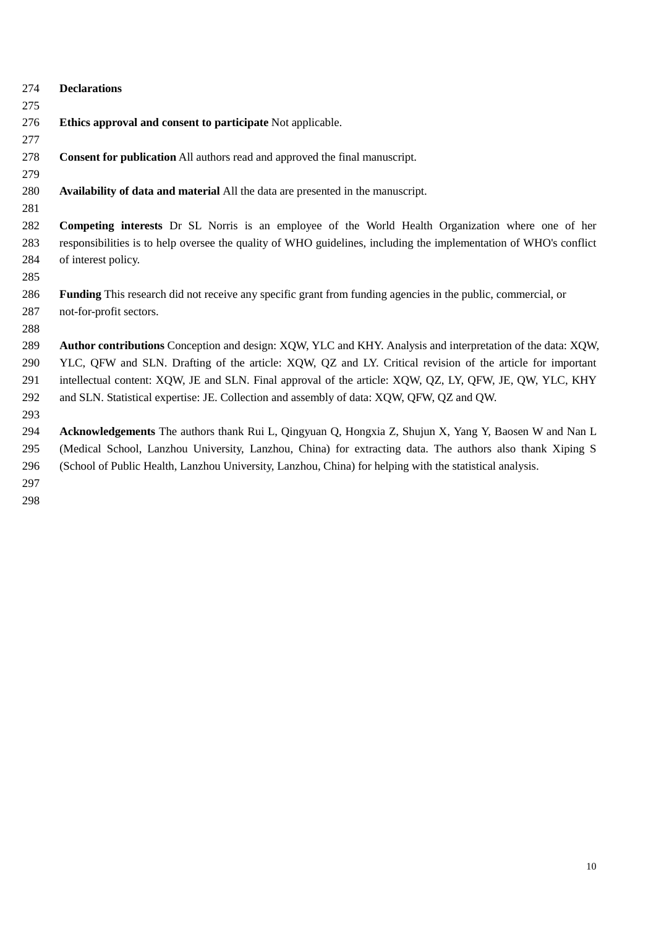| 274    | <b>Declarations</b>                                                                                                 |
|--------|---------------------------------------------------------------------------------------------------------------------|
| 275    |                                                                                                                     |
| 276    | Ethics approval and consent to participate Not applicable.                                                          |
| 277    |                                                                                                                     |
| 278    | Consent for publication All authors read and approved the final manuscript.                                         |
| 279    |                                                                                                                     |
| 280    | Availability of data and material All the data are presented in the manuscript.                                     |
| 281    |                                                                                                                     |
| 282    | <b>Competing interests</b> Dr SL Norris is an employee of the World Health Organization where one of her            |
| 283    | responsibilities is to help oversee the quality of WHO guidelines, including the implementation of WHO's conflict   |
| 284    | of interest policy.                                                                                                 |
| 285    |                                                                                                                     |
| 286    | <b>Funding</b> This research did not receive any specific grant from funding agencies in the public, commercial, or |
| 287    | not-for-profit sectors.                                                                                             |
| 288    |                                                                                                                     |
| 289    | Author contributions Conception and design: XQW, YLC and KHY. Analysis and interpretation of the data: XQW,         |
| 290    | YLC, QFW and SLN. Drafting of the article: XQW, QZ and LY. Critical revision of the article for important           |
| 291    | intellectual content: XQW, JE and SLN. Final approval of the article: XQW, QZ, LY, QFW, JE, QW, YLC, KHY            |
| 292    | and SLN. Statistical expertise: JE. Collection and assembly of data: XQW, QFW, QZ and QW.                           |
| 293    |                                                                                                                     |
| 294    | <b>Acknowledgements</b> The authors thank Rui L, Qingyuan Q, Hongxia Z, Shujun X, Yang Y, Baosen W and Nan L        |
| 295    | (Medical School, Lanzhou University, Lanzhou, China) for extracting data. The authors also thank Xiping S           |
| 296    | (School of Public Health, Lanzhou University, Lanzhou, China) for helping with the statistical analysis.            |
| 297    |                                                                                                                     |
| $\sim$ |                                                                                                                     |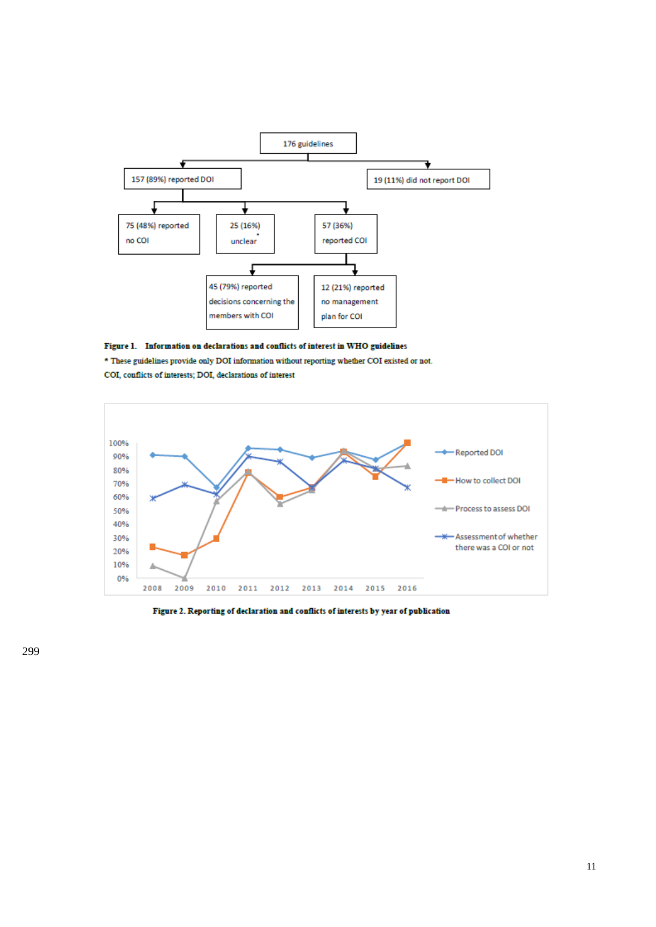

Figure 1. Information on declarations and conflicts of interest in WHO guidelines

\* These guidelines provide only DOI information without reporting whether COI existed or not. COI, conflicts of interests; DOI, declarations of interest



Figure 2. Reporting of declaration and conflicts of interests by year of publication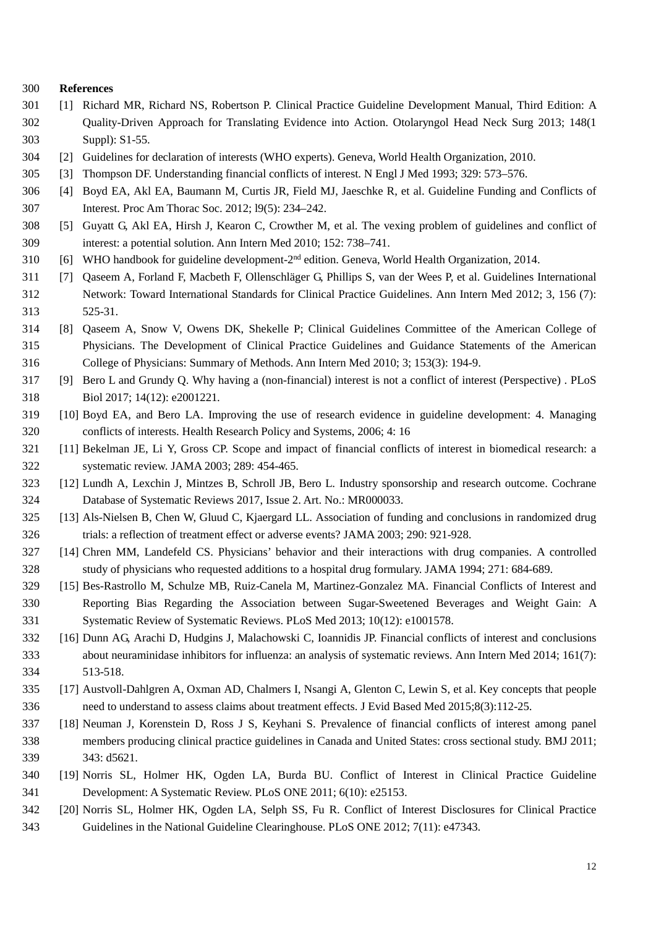### **References**

- [1] Richard MR, Richard NS, Robertson P. Clinical Practice Guideline Development Manual, Third Edition: A Quality-Driven Approach for Translating Evidence into Action. [Otolaryngol Head Neck Surg](http://www.ncbi.nlm.nih.gov/pubmed/23243141) 2013; 148(1 Suppl): S1-55.
- [2] Guidelines for declaration of interests (WHO experts). Geneva, World Health Organization, 2010.
- [3] Thompson DF. Understanding financial conflicts of interest. N Engl J Med 1993; 329: 573–576.
- [4] Boyd EA, Akl EA, Baumann M, Curtis JR, Field MJ, Jaeschke R, et al. Guideline Funding and Conflicts of Interest. Proc Am Thorac Soc. 2012; l9(5): 234–242.
- [5] Guyatt G, Akl EA, Hirsh J, Kearon C, Crowther M, et al. The vexing problem of guidelines and conflict of interest: a potential solution. Ann Intern Med 2010; 152: 738–741.
- $[6]$  WHO handbook for guideline development-2<sup>nd</sup> edition. Geneva, World Health Organization, 2014.
- [7] [Qaseem A,](http://www.ncbi.nlm.nih.gov/pubmed/?term=Qaseem%20A%5BAuthor%5D&cauthor=true&cauthor_uid=22473437) [Forland F,](http://www.ncbi.nlm.nih.gov/pubmed/?term=Forland%20F%5BAuthor%5D&cauthor=true&cauthor_uid=22473437) [Macbeth F,](http://www.ncbi.nlm.nih.gov/pubmed/?term=Macbeth%20F%5BAuthor%5D&cauthor=true&cauthor_uid=22473437) [Ollenschläger G,](http://www.ncbi.nlm.nih.gov/pubmed/?term=Ollenschl%C3%A4ger%20G%5BAuthor%5D&cauthor=true&cauthor_uid=22473437) [Phillips S,](http://www.ncbi.nlm.nih.gov/pubmed/?term=Phillips%20S%5BAuthor%5D&cauthor=true&cauthor_uid=22473437) [van der Wees P,](http://www.ncbi.nlm.nih.gov/pubmed/?term=van%20der%20Wees%20P%5BAuthor%5D&cauthor=true&cauthor_uid=22473437) et al. Guidelines International Network: Toward International Standards for Clinical Practice Guidelines. [Ann Intern Med](http://www.ncbi.nlm.nih.gov/pubmed/22473437) 2012; 3, 156 (7): 525-31.
- [8] [Qaseem A,](http://www.ncbi.nlm.nih.gov/pubmed/?term=Qaseem%20A%5BAuthor%5D&cauthor=true&cauthor_uid=20679562) [Snow V,](http://www.ncbi.nlm.nih.gov/pubmed/?term=Snow%20V%5BAuthor%5D&cauthor=true&cauthor_uid=20679562) [Owens DK,](http://www.ncbi.nlm.nih.gov/pubmed/?term=Owens%20DK%5BAuthor%5D&cauthor=true&cauthor_uid=20679562) [Shekelle P;](http://www.ncbi.nlm.nih.gov/pubmed/?term=Shekelle%20P%5BAuthor%5D&cauthor=true&cauthor_uid=20679562) [Clinical Guidelines Committee of the](http://www.ncbi.nlm.nih.gov/pubmed/?term=Clinical%20Guidelines%20Committee%20of%20the%20American%20College%20of%20Physicians%5BCorporate%20Author%5D) American College of [Physicians.](http://www.ncbi.nlm.nih.gov/pubmed/?term=Clinical%20Guidelines%20Committee%20of%20the%20American%20College%20of%20Physicians%5BCorporate%20Author%5D) The Development of Clinical Practice Guidelines and Guidance Statements of the American College of Physicians: Summary of Methods[. Ann Intern Med](http://www.ncbi.nlm.nih.gov/pubmed/20679562) 2010; 3; 153(3): 194-9.
- [9] Bero L and Grundy Q. Why having a (non-financial) interest is not a conflict of interest (Perspective) . PLoS Biol 2017; 14(12): e2001221.
- [10] Boyd EA, and Bero LA. Improving the use of research evidence in guideline development: 4. Managing conflicts of interests. Health Research Policy and Systems, 2006; 4: 16
- [11] Bekelman JE, Li Y, Gross CP. Scope and impact of financial conflicts of interest in biomedical research: a systematic review. JAMA 2003; 289: 454-465.
- [12] Lundh A, Lexchin J, Mintzes B, Schroll JB, Bero L. Industry sponsorship and research outcome. Cochrane Database of Systematic Reviews 2017, Issue 2. Art. No.: MR000033.
- [13] Als-Nielsen B, Chen W, Gluud C, Kjaergard LL. Association of funding and conclusions in randomized drug trials: a reflection of treatment effect or adverse events? JAMA 2003; 290: 921-928.
- [14] Chren MM, Landefeld CS. Physicians' behavior and their interactions with drug companies. A controlled study of physicians who requested additions to a hospital drug formulary. JAMA 1994; 271: 684-689.
- [15] Bes-Rastrollo M, Schulze MB, Ruiz-Canela M, Martinez-Gonzalez MA. Financial Conflicts of Interest and Reporting Bias Regarding the Association between Sugar-Sweetened Beverages and Weight Gain: A Systematic Review of Systematic Reviews. PLoS Med 2013; 10(12): e1001578.
- [16] Dunn AG, Arachi D, Hudgins J, Malachowski C, Ioannidis JP. Financial conflicts of interest and conclusions about neuraminidase inhibitors for influenza: an analysis of systematic reviews. [Ann Intern Med](http://www.ncbi.nlm.nih.gov/pubmed/22473437) 2014; 161(7): 513-518.
- [17] Austvoll-Dahlgren A, Oxman AD, Chalmers I, Nsangi A, Glenton C, Lewin S, et al. Key concepts that people need to understand to assess claims about treatment effects. J Evid Based Med 2015;8(3):112-25.
- [18] Neuman J, Korenstein D, Ross J S, Keyhani S. Prevalence of financial conflicts of interest among panel members producing clinical practice guidelines in Canada and United States: cross sectional study. BMJ 2011; 343: d5621.
- [19] Norris SL, Holmer HK, Ogden LA, Burda BU. Conflict of Interest in Clinical Practice Guideline Development: A Systematic Review. PLoS ONE 2011; 6(10): e25153.
- [20] Norris SL, Holmer HK, Ogden LA, Selph SS, Fu R. Conflict of Interest Disclosures for Clinical Practice Guidelines in the National Guideline Clearinghouse. PLoS ONE 2012; 7(11): e47343.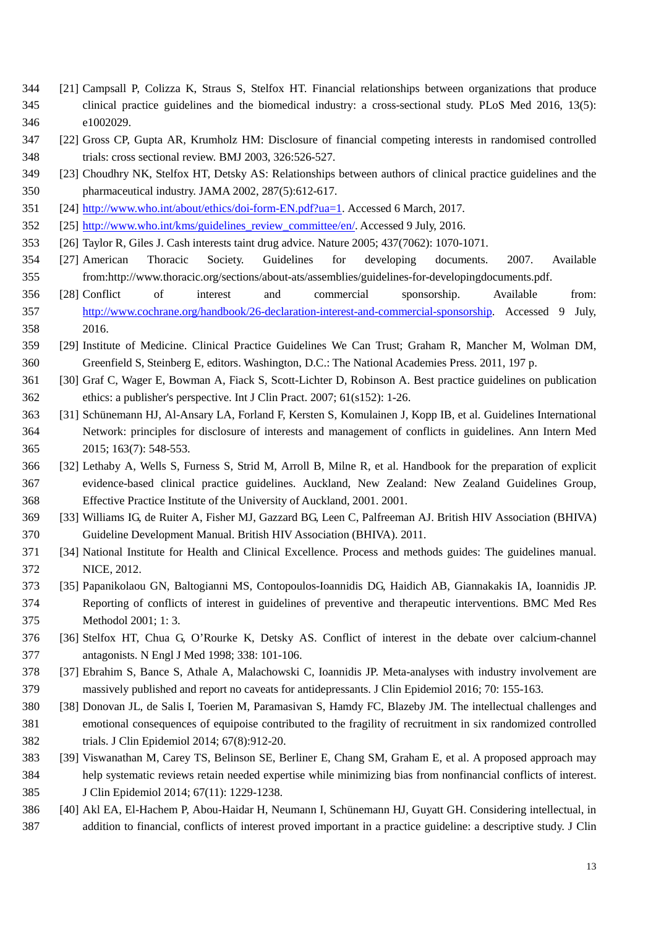- [21] Campsall P, Colizza K, Straus S, Stelfox HT. Financial relationships between organizations that produce clinical practice guidelines and the biomedical industry: a cross-sectional study. PLoS Med 2016, 13(5): e1002029.
- [22] Gross CP, Gupta AR, Krumholz HM: Disclosure of financial competing interests in randomised controlled trials: cross sectional review. BMJ 2003, 326:526-527.
- [23] Choudhry NK, Stelfox HT, Detsky AS: Relationships between authors of clinical practice guidelines and the pharmaceutical industry. JAMA 2002, 287(5):612-617.
- [24] [http://www.who.int/about/ethics/doi-form-EN.pdf?ua=1.](http://www.who.int/about/ethics/doi-form-EN.pdf?ua=1) Accessed 6 March, 2017.
- [25] [http://www.who.int/kms/guidelines\\_review\\_committee/en/.](http://www.who.int/kms/guidelines_review_committee/en/) Accessed 9 July, 2016.
- [26] Taylor R, Giles J. Cash interests taint drug advice. Nature 2005; 437(7062): 1070-1071.
- [27] American Thoracic Society. Guidelines for developing documents. 2007. Available from:http://www.thoracic.org/sections/about-ats/assemblies/guidelines-for-developingdocuments.pdf.
- [28] Conflict of interest and commercial sponsorship. Available from: [http://www.cochrane.org/handbook/26-declaration-interest-and-commercial-sponsorship.](http://www.cochrane.org/handbook/26-declaration-interest-and-commercial-sponsorship) Accessed 9 July, 2016.
- [29] Institute of Medicine. Clinical Practice Guidelines We Can Trust; Graham R, Mancher M, Wolman DM, Greenfield S, Steinberg E, editors. Washington, D.C.: The National Academies Press. 2011, 197 p.
- [30] Graf C, Wager E, Bowman A, Fiack S, Scott-Lichter D, Robinson A. Best practice guidelines on publication ethics: a publisher's perspective. Int J Clin Pract. 2007; 61(s152): 1-26.
- [31] Schünemann HJ, Al-Ansary LA, Forland F, Kersten S, Komulainen J, Kopp IB, et al. Guidelines International Network: principles for disclosure of interests and management of conflicts in guidelines. [Ann Intern Med](http://www.ncbi.nlm.nih.gov/pubmed/20679562) 2015; 163(7): 548-553.
- [32] Lethaby A, Wells S, Furness S, Strid M, Arroll B, Milne R, et al. Handbook for the preparation of explicit evidence-based clinical practice guidelines. Auckland, New Zealand: New Zealand Guidelines Group, Effective Practice Institute of the University of Auckland, 2001. 2001.
- [33] Williams IG, de Ruiter A, Fisher MJ, Gazzard BG, Leen C, Palfreeman AJ. British HIV Association (BHIVA) Guideline Development Manual. British HIV Association (BHIVA). 2011.
- [34] National Institute for Health and Clinical Excellence. Process and methods guides: The guidelines manual. NICE, 2012.
- [35] Papanikolaou GN, Baltogianni MS, Contopoulos-Ioannidis DG, Haidich AB, Giannakakis IA, [Ioannidis JP.](http://www.ncbi.nlm.nih.gov/pubmed/?term=Ioannidis%20JP%5BAuthor%5D&cauthor=true&cauthor_uid=11405896) Reporting of conflicts of interest in guidelines of preventive and therapeutic interventions. BMC Med Res Methodol 2001; 1: 3.
- [36] Stelfox HT, Chua G, O'Rourke K, Detsky AS. Conflict of interest in the debate over calcium-channel antagonists. N Engl J Med 1998; 338: 101-106.
- [37] Ebrahim S, Bance S, Athale A, Malachowski C, Ioannidis JP. Meta-analyses with industry involvement are massively published and report no caveats for antidepressants. J Clin Epidemiol 2016; 70: 155-163.
- [38] [Donovan JL,](http://www.ncbi.nlm.nih.gov/pubmed/?term=Donovan%20JL%5BAuthor%5D&cauthor=true&cauthor_uid=24811157) [de Salis I,](http://www.ncbi.nlm.nih.gov/pubmed/?term=de%20Salis%20I%5BAuthor%5D&cauthor=true&cauthor_uid=24811157) [Toerien M,](http://www.ncbi.nlm.nih.gov/pubmed/?term=Toerien%20M%5BAuthor%5D&cauthor=true&cauthor_uid=24811157) [Paramasivan S,](http://www.ncbi.nlm.nih.gov/pubmed/?term=Paramasivan%20S%5BAuthor%5D&cauthor=true&cauthor_uid=24811157) [Hamdy FC,](http://www.ncbi.nlm.nih.gov/pubmed/?term=Hamdy%20FC%5BAuthor%5D&cauthor=true&cauthor_uid=24811157) [Blazeby JM.](http://www.ncbi.nlm.nih.gov/pubmed/?term=Blazeby%20JM%5BAuthor%5D&cauthor=true&cauthor_uid=24811157) The intellectual challenges and emotional consequences of equipoise contributed to the fragility of recruitment in six randomized controlled trials. [J Clin Epidemiol](http://www.ncbi.nlm.nih.gov/pubmed/?term=The+intellectual+challenges+and+emotional+consequences+of+equipoise+contributed+to+the+fragility+of+recruitment+in+six+randomized+controlled+trials) 2014; 67(8):912-20.
- [39] Viswanathan M, Carey TS, Belinson SE, Berliner E, Chang SM, Graham E, et al. A proposed approach may help systematic reviews retain needed expertise while minimizing bias from nonfinancial conflicts of interest. [J Clin Epidemiol](http://www.ncbi.nlm.nih.gov/pubmed/?term=The+intellectual+challenges+and+emotional+consequences+of+equipoise+contributed+to+the+fragility+of+recruitment+in+six+randomized+controlled+trials) 2014; 67(11): 1229-1238.
- [40] [Akl EA,](http://www.ncbi.nlm.nih.gov/pubmed/?term=Akl%20EA%5BAuthor%5D&cauthor=true&cauthor_uid=24970099) [El-Hachem P,](http://www.ncbi.nlm.nih.gov/pubmed/?term=El-Hachem%20P%5BAuthor%5D&cauthor=true&cauthor_uid=24970099) [Abou-Haidar H,](http://www.ncbi.nlm.nih.gov/pubmed/?term=Abou-Haidar%20H%5BAuthor%5D&cauthor=true&cauthor_uid=24970099) [Neumann I,](http://www.ncbi.nlm.nih.gov/pubmed/?term=Neumann%20I%5BAuthor%5D&cauthor=true&cauthor_uid=24970099) [Schünemann HJ,](http://www.ncbi.nlm.nih.gov/pubmed/?term=Sch%C3%BCnemann%20HJ%5BAuthor%5D&cauthor=true&cauthor_uid=24970099) [Guyatt GH.](http://www.ncbi.nlm.nih.gov/pubmed/?term=Guyatt%20GH%5BAuthor%5D&cauthor=true&cauthor_uid=24970099) Considering intellectual, in addition to financial, conflicts of interest proved important in a practice guideline: a descriptive study. [J Clin](http://www.ncbi.nlm.nih.gov/pubmed/?term=Considering+intellectual%2C+in+addition+to+financial%2C+conflicts+of+interest+proved+important+in+a+practice+guideline%3A+a+descriptive+stud)